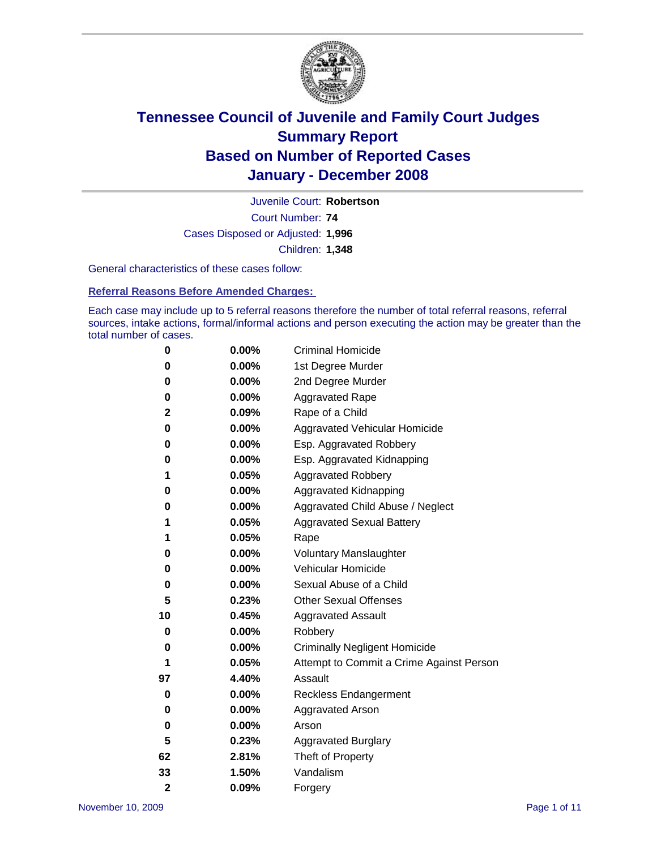

Court Number: **74** Juvenile Court: **Robertson** Cases Disposed or Adjusted: **1,996** Children: **1,348**

General characteristics of these cases follow:

**Referral Reasons Before Amended Charges:** 

Each case may include up to 5 referral reasons therefore the number of total referral reasons, referral sources, intake actions, formal/informal actions and person executing the action may be greater than the total number of cases.

| 0              | $0.00\%$ | <b>Criminal Homicide</b>                 |
|----------------|----------|------------------------------------------|
| 0              | 0.00%    | 1st Degree Murder                        |
| 0              | $0.00\%$ | 2nd Degree Murder                        |
| 0              | 0.00%    | <b>Aggravated Rape</b>                   |
| 2              | 0.09%    | Rape of a Child                          |
| 0              | 0.00%    | Aggravated Vehicular Homicide            |
| 0              | 0.00%    | Esp. Aggravated Robbery                  |
| 0              | $0.00\%$ | Esp. Aggravated Kidnapping               |
| 1              | 0.05%    | <b>Aggravated Robbery</b>                |
| 0              | 0.00%    | Aggravated Kidnapping                    |
| 0              | 0.00%    | Aggravated Child Abuse / Neglect         |
| 1              | 0.05%    | <b>Aggravated Sexual Battery</b>         |
| 1              | 0.05%    | Rape                                     |
| 0              | 0.00%    | <b>Voluntary Manslaughter</b>            |
| 0              | 0.00%    | Vehicular Homicide                       |
| 0              | 0.00%    | Sexual Abuse of a Child                  |
| 5              | 0.23%    | <b>Other Sexual Offenses</b>             |
| 10             | 0.45%    | <b>Aggravated Assault</b>                |
| 0              | 0.00%    | Robbery                                  |
| 0              | 0.00%    | <b>Criminally Negligent Homicide</b>     |
| 1              | 0.05%    | Attempt to Commit a Crime Against Person |
| 97             | 4.40%    | Assault                                  |
| 0              | 0.00%    | <b>Reckless Endangerment</b>             |
| 0              | 0.00%    | <b>Aggravated Arson</b>                  |
| 0              | 0.00%    | Arson                                    |
| 5              | 0.23%    | <b>Aggravated Burglary</b>               |
| 62             | 2.81%    | Theft of Property                        |
| 33             | 1.50%    | Vandalism                                |
| $\overline{2}$ | 0.09%    | Forgery                                  |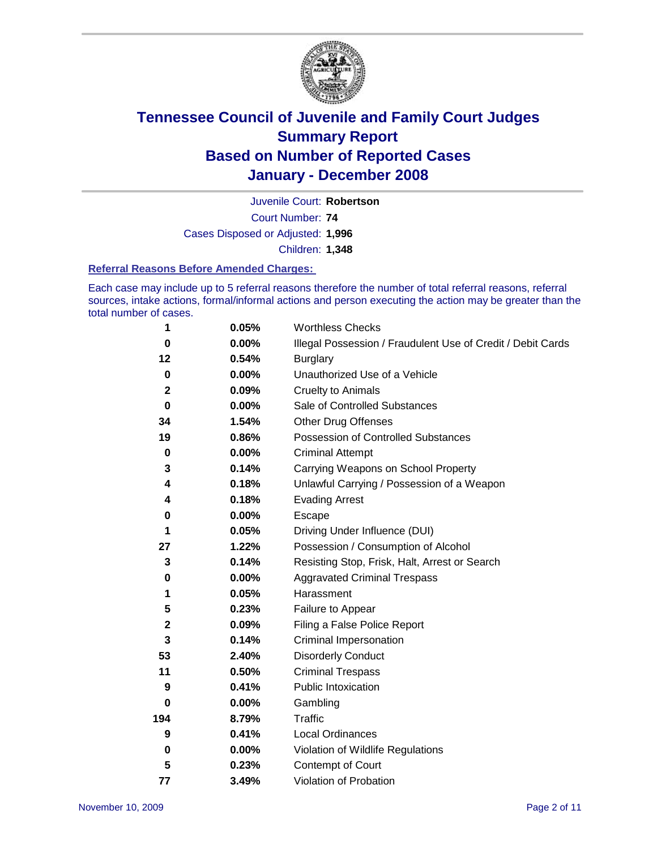

Court Number: **74** Juvenile Court: **Robertson** Cases Disposed or Adjusted: **1,996** Children: **1,348**

#### **Referral Reasons Before Amended Charges:**

Each case may include up to 5 referral reasons therefore the number of total referral reasons, referral sources, intake actions, formal/informal actions and person executing the action may be greater than the total number of cases.

| 1           | 0.05%    | <b>Worthless Checks</b>                                     |
|-------------|----------|-------------------------------------------------------------|
| $\bf{0}$    | 0.00%    | Illegal Possession / Fraudulent Use of Credit / Debit Cards |
| 12          | 0.54%    | <b>Burglary</b>                                             |
| $\mathbf 0$ | 0.00%    | Unauthorized Use of a Vehicle                               |
| $\mathbf 2$ | 0.09%    | <b>Cruelty to Animals</b>                                   |
| $\bf{0}$    | 0.00%    | Sale of Controlled Substances                               |
| 34          | 1.54%    | <b>Other Drug Offenses</b>                                  |
| 19          | 0.86%    | Possession of Controlled Substances                         |
| $\pmb{0}$   | $0.00\%$ | <b>Criminal Attempt</b>                                     |
| 3           | 0.14%    | Carrying Weapons on School Property                         |
| 4           | 0.18%    | Unlawful Carrying / Possession of a Weapon                  |
| 4           | 0.18%    | <b>Evading Arrest</b>                                       |
| 0           | 0.00%    | Escape                                                      |
| 1           | 0.05%    | Driving Under Influence (DUI)                               |
| 27          | 1.22%    | Possession / Consumption of Alcohol                         |
| 3           | 0.14%    | Resisting Stop, Frisk, Halt, Arrest or Search               |
| 0           | 0.00%    | <b>Aggravated Criminal Trespass</b>                         |
| 1           | 0.05%    | Harassment                                                  |
| 5           | 0.23%    | Failure to Appear                                           |
| $\mathbf 2$ | 0.09%    | Filing a False Police Report                                |
| 3           | 0.14%    | Criminal Impersonation                                      |
| 53          | 2.40%    | <b>Disorderly Conduct</b>                                   |
| 11          | 0.50%    | <b>Criminal Trespass</b>                                    |
| 9           | 0.41%    | <b>Public Intoxication</b>                                  |
| 0           | 0.00%    | Gambling                                                    |
| 194         | 8.79%    | Traffic                                                     |
| 9           | 0.41%    | Local Ordinances                                            |
| $\pmb{0}$   | 0.00%    | Violation of Wildlife Regulations                           |
| 5           | 0.23%    | <b>Contempt of Court</b>                                    |
| 77          | 3.49%    | Violation of Probation                                      |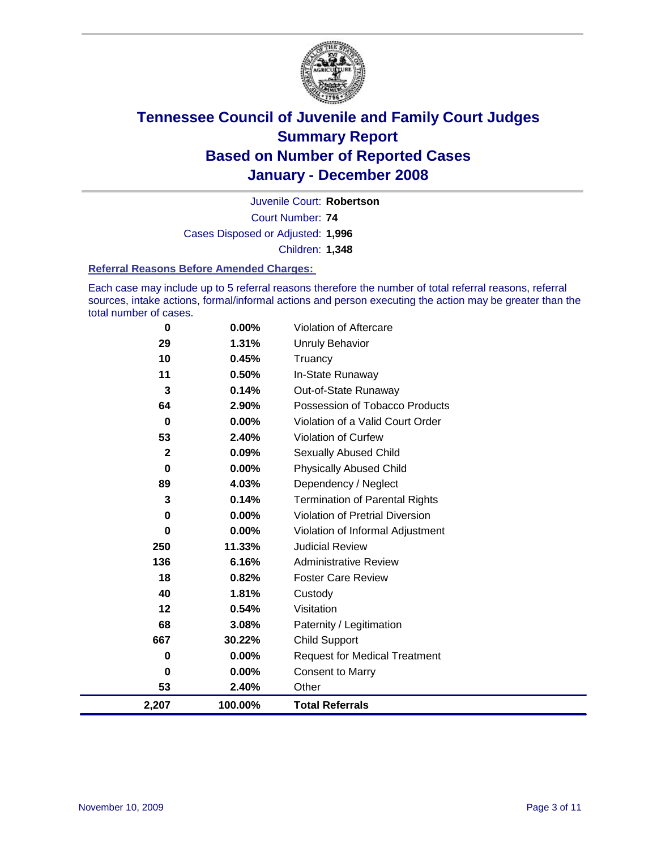

Court Number: **74** Juvenile Court: **Robertson** Cases Disposed or Adjusted: **1,996** Children: **1,348**

#### **Referral Reasons Before Amended Charges:**

Each case may include up to 5 referral reasons therefore the number of total referral reasons, referral sources, intake actions, formal/informal actions and person executing the action may be greater than the total number of cases.

| 2,207        | 100.00%  | <b>Total Referrals</b>                 |
|--------------|----------|----------------------------------------|
| 53           | 2.40%    | Other                                  |
| 0            | 0.00%    | <b>Consent to Marry</b>                |
| 0            | $0.00\%$ | <b>Request for Medical Treatment</b>   |
| 667          | 30.22%   | <b>Child Support</b>                   |
| 68           | 3.08%    | Paternity / Legitimation               |
| 12           | 0.54%    | Visitation                             |
| 40           | 1.81%    | Custody                                |
| 18           | 0.82%    | <b>Foster Care Review</b>              |
| 136          | 6.16%    | <b>Administrative Review</b>           |
| 250          | 11.33%   | <b>Judicial Review</b>                 |
| 0            | $0.00\%$ | Violation of Informal Adjustment       |
| $\bf{0}$     | $0.00\%$ | <b>Violation of Pretrial Diversion</b> |
| 3            | 0.14%    | <b>Termination of Parental Rights</b>  |
| 89           | 4.03%    | Dependency / Neglect                   |
| $\bf{0}$     | 0.00%    | <b>Physically Abused Child</b>         |
| $\mathbf{2}$ | 0.09%    | <b>Sexually Abused Child</b>           |
| 53           | 2.40%    | Violation of Curfew                    |
| $\bf{0}$     | 0.00%    | Violation of a Valid Court Order       |
| 64           | 2.90%    | Possession of Tobacco Products         |
| 3            | 0.14%    | Out-of-State Runaway                   |
| 11           | 0.50%    | In-State Runaway                       |
| 10           | 0.45%    | Truancy                                |
| 29           | 1.31%    | <b>Unruly Behavior</b>                 |
| 0            | 0.00%    | Violation of Aftercare                 |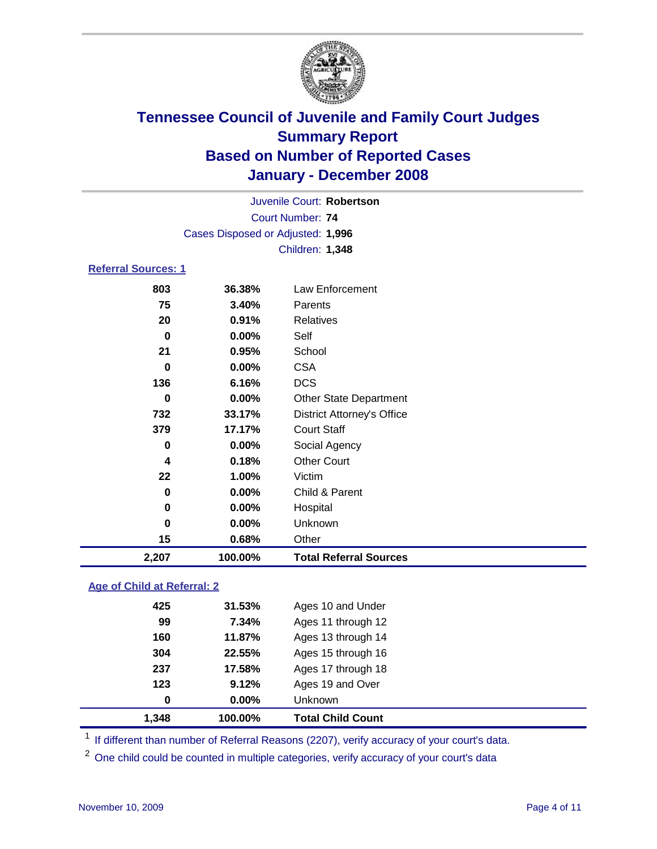

Court Number: **74** Juvenile Court: **Robertson** Cases Disposed or Adjusted: **1,996** Children: **1,348**

### **Referral Sources: 1**

| 15       | 0.68%    | Other                             |
|----------|----------|-----------------------------------|
|          |          |                                   |
| 0        | $0.00\%$ | Unknown                           |
| 0        | 0.00%    | Hospital                          |
| 0        | 0.00%    | Child & Parent                    |
| 22       | 1.00%    | Victim                            |
| 4        | 0.18%    | <b>Other Court</b>                |
| 0        | 0.00%    | Social Agency                     |
| 379      | 17.17%   | <b>Court Staff</b>                |
| 732      | 33.17%   | <b>District Attorney's Office</b> |
| 0        | $0.00\%$ | <b>Other State Department</b>     |
| 136      | 6.16%    | <b>DCS</b>                        |
| $\bf{0}$ | 0.00%    | <b>CSA</b>                        |
| 21       | 0.95%    | School                            |
| 0        | 0.00%    | Self                              |
| 20       | 0.91%    | <b>Relatives</b>                  |
| 75       | 3.40%    | <b>Parents</b>                    |
| 803      | 36.38%   | Law Enforcement                   |
|          |          |                                   |

### **Age of Child at Referral: 2**

|          | Unknown            |
|----------|--------------------|
| $0.00\%$ |                    |
| 9.12%    | Ages 19 and Over   |
| 17.58%   | Ages 17 through 18 |
| 22.55%   | Ages 15 through 16 |
| 11.87%   | Ages 13 through 14 |
| 7.34%    | Ages 11 through 12 |
| 31.53%   | Ages 10 and Under  |
|          |                    |

<sup>1</sup> If different than number of Referral Reasons (2207), verify accuracy of your court's data.

<sup>2</sup> One child could be counted in multiple categories, verify accuracy of your court's data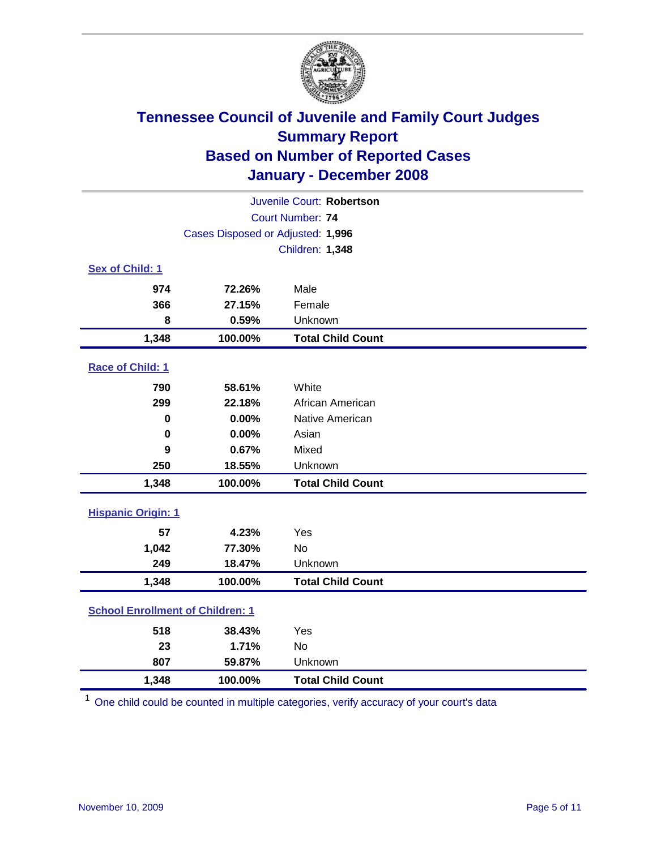

| Juvenile Court: Robertson               |                                   |                          |  |  |
|-----------------------------------------|-----------------------------------|--------------------------|--|--|
|                                         | Court Number: 74                  |                          |  |  |
|                                         | Cases Disposed or Adjusted: 1,996 |                          |  |  |
|                                         |                                   | Children: 1,348          |  |  |
| Sex of Child: 1                         |                                   |                          |  |  |
| 974                                     | 72.26%                            | Male                     |  |  |
| 366                                     | 27.15%                            | Female                   |  |  |
| 8                                       | 0.59%                             | Unknown                  |  |  |
| 1,348                                   | 100.00%                           | <b>Total Child Count</b> |  |  |
| Race of Child: 1                        |                                   |                          |  |  |
| 790                                     | 58.61%                            | White                    |  |  |
| 299                                     | 22.18%                            | African American         |  |  |
| 0                                       | 0.00%                             | Native American          |  |  |
| $\bf{0}$                                | 0.00%                             | Asian                    |  |  |
| 9                                       | 0.67%                             | Mixed                    |  |  |
| 250                                     | 18.55%                            | Unknown                  |  |  |
| 1,348                                   | 100.00%                           | <b>Total Child Count</b> |  |  |
| <b>Hispanic Origin: 1</b>               |                                   |                          |  |  |
| 57                                      | 4.23%                             | Yes                      |  |  |
| 1,042                                   | 77.30%                            | <b>No</b>                |  |  |
| 249                                     | 18.47%                            | Unknown                  |  |  |
| 1,348                                   | 100.00%                           | <b>Total Child Count</b> |  |  |
| <b>School Enrollment of Children: 1</b> |                                   |                          |  |  |
| 518                                     | 38.43%                            | Yes                      |  |  |
| 23                                      | 1.71%                             | <b>No</b>                |  |  |
| 807                                     | 59.87%                            | Unknown                  |  |  |
| 1,348                                   | 100.00%                           | <b>Total Child Count</b> |  |  |

<sup>1</sup> One child could be counted in multiple categories, verify accuracy of your court's data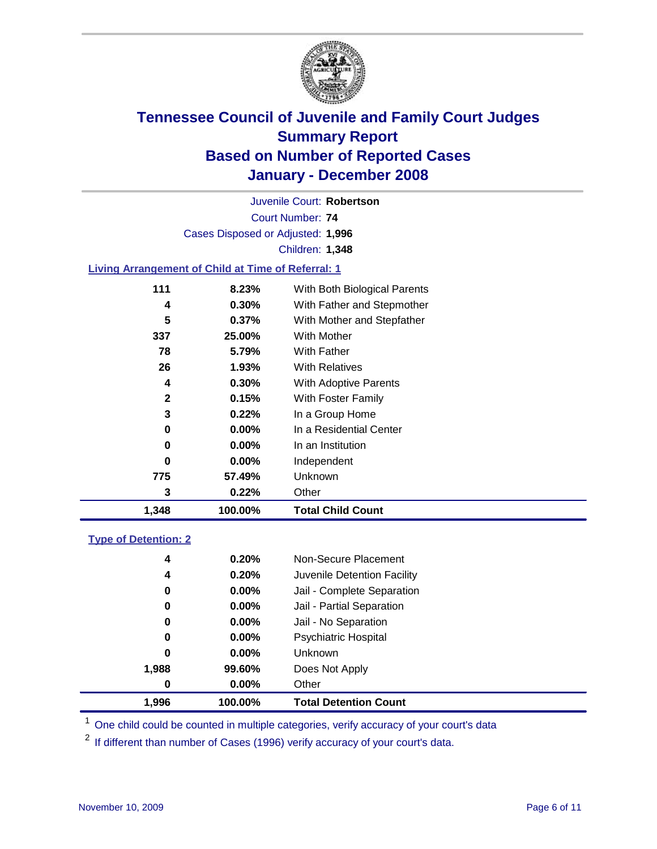

Court Number: **74** Juvenile Court: **Robertson** Cases Disposed or Adjusted: **1,996** Children: **1,348**

### **Living Arrangement of Child at Time of Referral: 1**

| 1,348        | 100.00%  | <b>Total Child Count</b>     |
|--------------|----------|------------------------------|
| 3            | 0.22%    | Other                        |
| 775          | 57.49%   | <b>Unknown</b>               |
| 0            | $0.00\%$ | Independent                  |
| 0            | $0.00\%$ | In an Institution            |
| 0            | $0.00\%$ | In a Residential Center      |
| 3            | 0.22%    | In a Group Home              |
| $\mathbf{2}$ | 0.15%    | With Foster Family           |
| 4            | $0.30\%$ | <b>With Adoptive Parents</b> |
| 26           | 1.93%    | <b>With Relatives</b>        |
| 78           | 5.79%    | With Father                  |
| 337          | 25.00%   | With Mother                  |
| 5            | 0.37%    | With Mother and Stepfather   |
| 4            | $0.30\%$ | With Father and Stepmother   |
| 111          | 8.23%    | With Both Biological Parents |

#### **Type of Detention: 2**

| 1.996 | 100.00%  | <b>Total Detention Count</b> |  |
|-------|----------|------------------------------|--|
| 0     | $0.00\%$ | Other                        |  |
| 1,988 | 99.60%   | Does Not Apply               |  |
| 0     | $0.00\%$ | <b>Unknown</b>               |  |
| 0     | $0.00\%$ | <b>Psychiatric Hospital</b>  |  |
| 0     | 0.00%    | Jail - No Separation         |  |
| 0     | $0.00\%$ | Jail - Partial Separation    |  |
| 0     | $0.00\%$ | Jail - Complete Separation   |  |
| 4     | 0.20%    | Juvenile Detention Facility  |  |
| 4     | 0.20%    | Non-Secure Placement         |  |
|       |          |                              |  |

<sup>1</sup> One child could be counted in multiple categories, verify accuracy of your court's data

<sup>2</sup> If different than number of Cases (1996) verify accuracy of your court's data.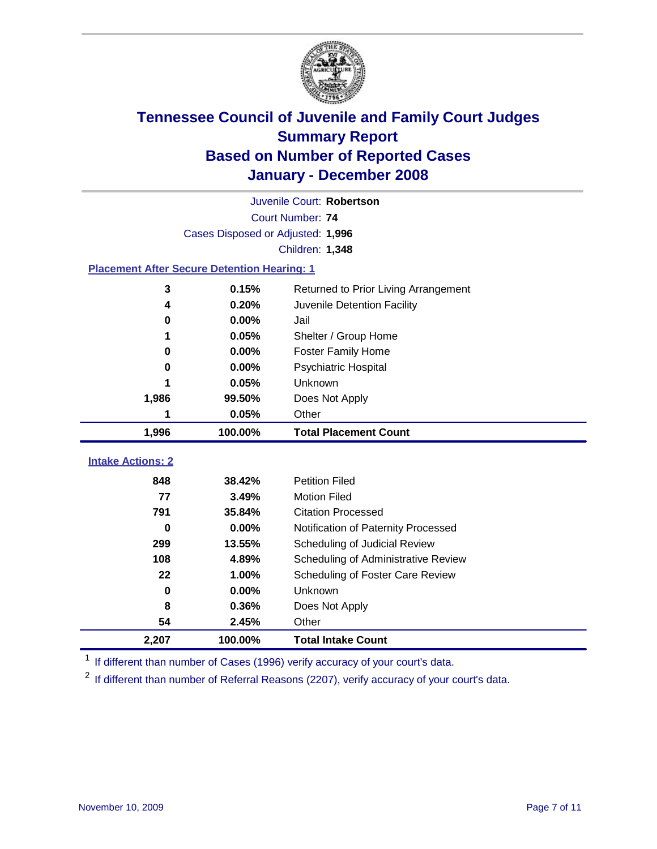

| Juvenile Court: Robertson                          |                                   |                                      |  |  |  |
|----------------------------------------------------|-----------------------------------|--------------------------------------|--|--|--|
|                                                    | Court Number: 74                  |                                      |  |  |  |
|                                                    | Cases Disposed or Adjusted: 1,996 |                                      |  |  |  |
|                                                    |                                   | Children: 1,348                      |  |  |  |
| <b>Placement After Secure Detention Hearing: 1</b> |                                   |                                      |  |  |  |
| 3                                                  | 0.15%                             | Returned to Prior Living Arrangement |  |  |  |
| 4                                                  | 0.20%                             | Juvenile Detention Facility          |  |  |  |
| $\bf{0}$                                           | 0.00%                             | Jail                                 |  |  |  |
| 1                                                  | 0.05%                             | Shelter / Group Home                 |  |  |  |
| 0                                                  | 0.00%                             | <b>Foster Family Home</b>            |  |  |  |
| 0                                                  | 0.00%                             | Psychiatric Hospital                 |  |  |  |
| 1                                                  | 0.05%                             | Unknown                              |  |  |  |
| 1,986                                              | 99.50%                            | Does Not Apply                       |  |  |  |
| 1                                                  | 0.05%                             | Other                                |  |  |  |
| 1,996                                              | 100.00%                           | <b>Total Placement Count</b>         |  |  |  |
|                                                    |                                   |                                      |  |  |  |
| <b>Intake Actions: 2</b>                           |                                   |                                      |  |  |  |
| 848                                                | 38.42%                            | <b>Petition Filed</b>                |  |  |  |
| 77                                                 | 3.49%                             | <b>Motion Filed</b>                  |  |  |  |
| 791                                                | 35.84%                            | <b>Citation Processed</b>            |  |  |  |
| 0                                                  | $0.00\%$                          | Notification of Paternity Processed  |  |  |  |
| 299                                                | 13.55%                            | Scheduling of Judicial Review        |  |  |  |
| 108                                                | 4.89%                             | Scheduling of Administrative Review  |  |  |  |
| 22                                                 | 1.00%                             | Scheduling of Foster Care Review     |  |  |  |
| $\bf{0}$                                           | 0.00%                             | Unknown                              |  |  |  |
| 8                                                  | 0.36%                             | Does Not Apply                       |  |  |  |
| 54                                                 | 2.45%                             | Other                                |  |  |  |
| 2,207                                              | 100.00%                           | <b>Total Intake Count</b>            |  |  |  |

<sup>1</sup> If different than number of Cases (1996) verify accuracy of your court's data.

<sup>2</sup> If different than number of Referral Reasons (2207), verify accuracy of your court's data.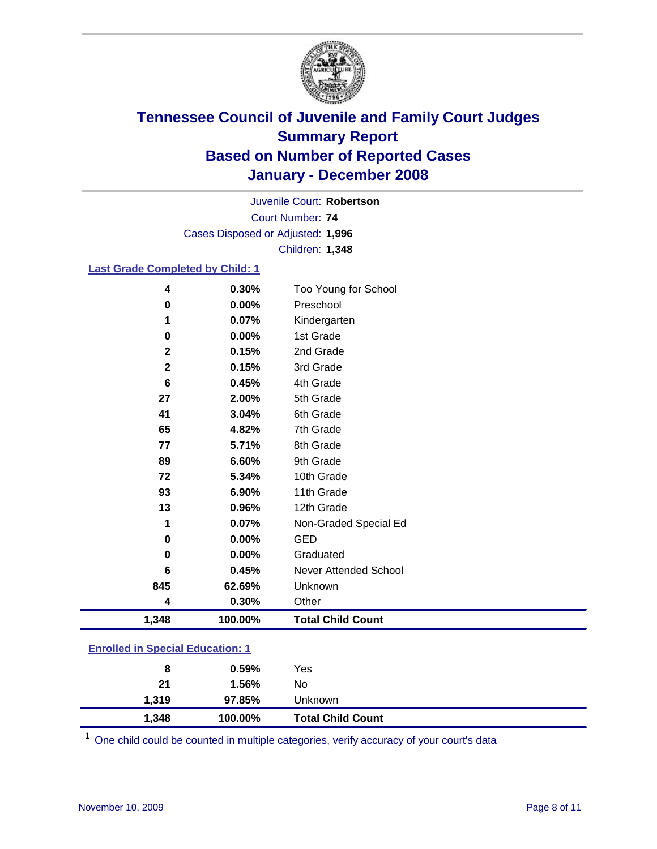

Court Number: **74** Juvenile Court: **Robertson** Cases Disposed or Adjusted: **1,996** Children: **1,348**

### **Last Grade Completed by Child: 1**

| 1,348        | 100.00% | <b>Total Child Count</b> |
|--------------|---------|--------------------------|
| 4            | 0.30%   | Other                    |
| 845          | 62.69%  | Unknown                  |
| 6            | 0.45%   | Never Attended School    |
| $\bf{0}$     | 0.00%   | Graduated                |
| $\mathbf 0$  | 0.00%   | <b>GED</b>               |
| 1            | 0.07%   | Non-Graded Special Ed    |
| 13           | 0.96%   | 12th Grade               |
| 93           | 6.90%   | 11th Grade               |
| 72           | 5.34%   | 10th Grade               |
| 89           | 6.60%   | 9th Grade                |
| 77           | 5.71%   | 8th Grade                |
| 65           | 4.82%   | 7th Grade                |
| 41           | 3.04%   | 6th Grade                |
| 27           | 2.00%   | 5th Grade                |
| 6            | 0.45%   | 4th Grade                |
| $\mathbf{2}$ | 0.15%   | 3rd Grade                |
| $\mathbf{2}$ | 0.15%   | 2nd Grade                |
| 0            | 0.00%   | 1st Grade                |
| 1            | 0.07%   | Kindergarten             |
| $\bf{0}$     | 0.00%   | Preschool                |
| 4            | 0.30%   | Too Young for School     |

### **Enrolled in Special Education: 1**

| 8     | 0.59%   | Yes                      |
|-------|---------|--------------------------|
| 21    | 1.56%   | No                       |
| 1,319 | 97.85%  | Unknown                  |
| 1,348 | 100.00% | <b>Total Child Count</b> |

One child could be counted in multiple categories, verify accuracy of your court's data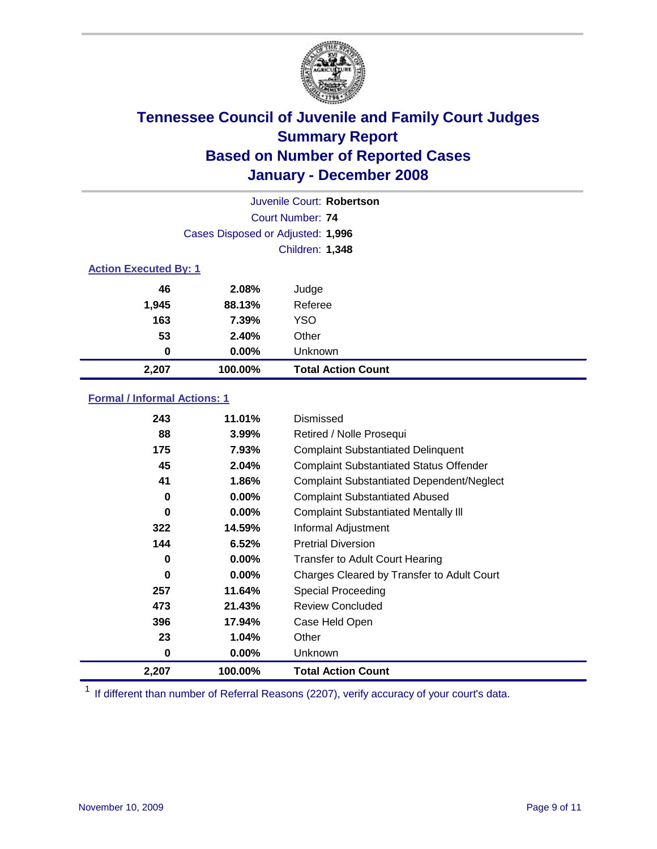

| Juvenile Court: Robertson    |                                   |                           |  |  |  |
|------------------------------|-----------------------------------|---------------------------|--|--|--|
|                              | Court Number: 74                  |                           |  |  |  |
|                              | Cases Disposed or Adjusted: 1,996 |                           |  |  |  |
|                              | <b>Children: 1,348</b>            |                           |  |  |  |
| <b>Action Executed By: 1</b> |                                   |                           |  |  |  |
| 46                           | 2.08%                             | Judge                     |  |  |  |
| 1,945                        | 88.13%                            | Referee                   |  |  |  |
| 163                          | 7.39%                             | <b>YSO</b>                |  |  |  |
| 53                           | 2.40%                             | Other                     |  |  |  |
| 0                            | $0.00\%$                          | Unknown                   |  |  |  |
| 2,207                        | 100.00%                           | <b>Total Action Count</b> |  |  |  |

### **Formal / Informal Actions: 1**

| 243   | 11.01%   | Dismissed                                        |
|-------|----------|--------------------------------------------------|
| 88    | $3.99\%$ | Retired / Nolle Prosequi                         |
| 175   | 7.93%    | <b>Complaint Substantiated Delinquent</b>        |
| 45    | 2.04%    | <b>Complaint Substantiated Status Offender</b>   |
| 41    | 1.86%    | <b>Complaint Substantiated Dependent/Neglect</b> |
| 0     | $0.00\%$ | <b>Complaint Substantiated Abused</b>            |
| 0     | $0.00\%$ | <b>Complaint Substantiated Mentally III</b>      |
| 322   | 14.59%   | Informal Adjustment                              |
| 144   | 6.52%    | <b>Pretrial Diversion</b>                        |
| 0     | $0.00\%$ | <b>Transfer to Adult Court Hearing</b>           |
| 0     | $0.00\%$ | Charges Cleared by Transfer to Adult Court       |
| 257   | 11.64%   | Special Proceeding                               |
| 473   | 21.43%   | <b>Review Concluded</b>                          |
| 396   | 17.94%   | Case Held Open                                   |
| 23    | 1.04%    | Other                                            |
| 0     | $0.00\%$ | <b>Unknown</b>                                   |
| 2,207 | 100.00%  | <b>Total Action Count</b>                        |

<sup>1</sup> If different than number of Referral Reasons (2207), verify accuracy of your court's data.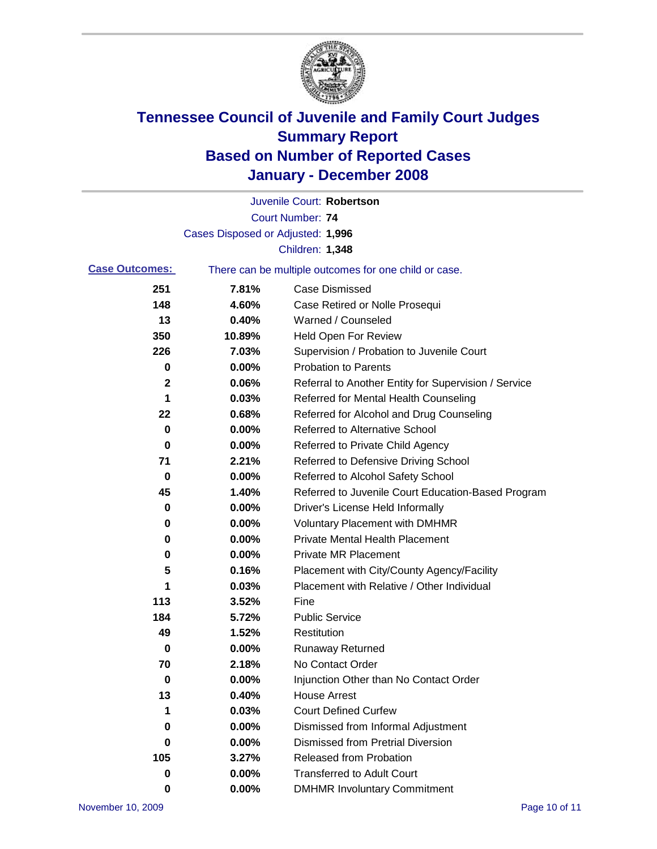

|                                                                                |                                   | Juvenile Court: Robertson                            |
|--------------------------------------------------------------------------------|-----------------------------------|------------------------------------------------------|
|                                                                                |                                   | <b>Court Number: 74</b>                              |
|                                                                                | Cases Disposed or Adjusted: 1,996 |                                                      |
|                                                                                |                                   | Children: 1,348                                      |
| <b>Case Outcomes:</b><br>There can be multiple outcomes for one child or case. |                                   |                                                      |
| 251                                                                            | 7.81%                             | <b>Case Dismissed</b>                                |
| 148                                                                            | 4.60%                             | Case Retired or Nolle Prosequi                       |
| 13                                                                             | 0.40%                             | Warned / Counseled                                   |
| 350                                                                            | 10.89%                            | <b>Held Open For Review</b>                          |
| 226                                                                            | 7.03%                             | Supervision / Probation to Juvenile Court            |
| 0                                                                              | 0.00%                             | <b>Probation to Parents</b>                          |
| 2                                                                              | 0.06%                             | Referral to Another Entity for Supervision / Service |
| 1                                                                              | 0.03%                             | Referred for Mental Health Counseling                |
| 22                                                                             | 0.68%                             | Referred for Alcohol and Drug Counseling             |
| 0                                                                              | 0.00%                             | <b>Referred to Alternative School</b>                |
| 0                                                                              | 0.00%                             | Referred to Private Child Agency                     |
| 71                                                                             | 2.21%                             | Referred to Defensive Driving School                 |
| 0                                                                              | 0.00%                             | Referred to Alcohol Safety School                    |
| 45                                                                             | 1.40%                             | Referred to Juvenile Court Education-Based Program   |
| 0                                                                              | 0.00%                             | Driver's License Held Informally                     |
| 0                                                                              | 0.00%                             | <b>Voluntary Placement with DMHMR</b>                |
| 0                                                                              | 0.00%                             | <b>Private Mental Health Placement</b>               |
| 0                                                                              | 0.00%                             | <b>Private MR Placement</b>                          |
| 5                                                                              | 0.16%                             | Placement with City/County Agency/Facility           |
| 1                                                                              | 0.03%                             | Placement with Relative / Other Individual           |
| 113                                                                            | 3.52%                             | Fine                                                 |
| 184                                                                            | 5.72%                             | <b>Public Service</b>                                |
| 49                                                                             | 1.52%                             | Restitution                                          |
| 0                                                                              | 0.00%                             | <b>Runaway Returned</b>                              |
| 70                                                                             | 2.18%                             | No Contact Order                                     |
| 0                                                                              | 0.00%                             | Injunction Other than No Contact Order               |
| 13                                                                             | 0.40%                             | <b>House Arrest</b>                                  |
| 1                                                                              | 0.03%                             | <b>Court Defined Curfew</b>                          |
| 0                                                                              | 0.00%                             | Dismissed from Informal Adjustment                   |
| 0                                                                              | 0.00%                             | <b>Dismissed from Pretrial Diversion</b>             |
| 105                                                                            | 3.27%                             | <b>Released from Probation</b>                       |
| 0                                                                              | 0.00%                             | <b>Transferred to Adult Court</b>                    |
| 0                                                                              | 0.00%                             | <b>DMHMR Involuntary Commitment</b>                  |